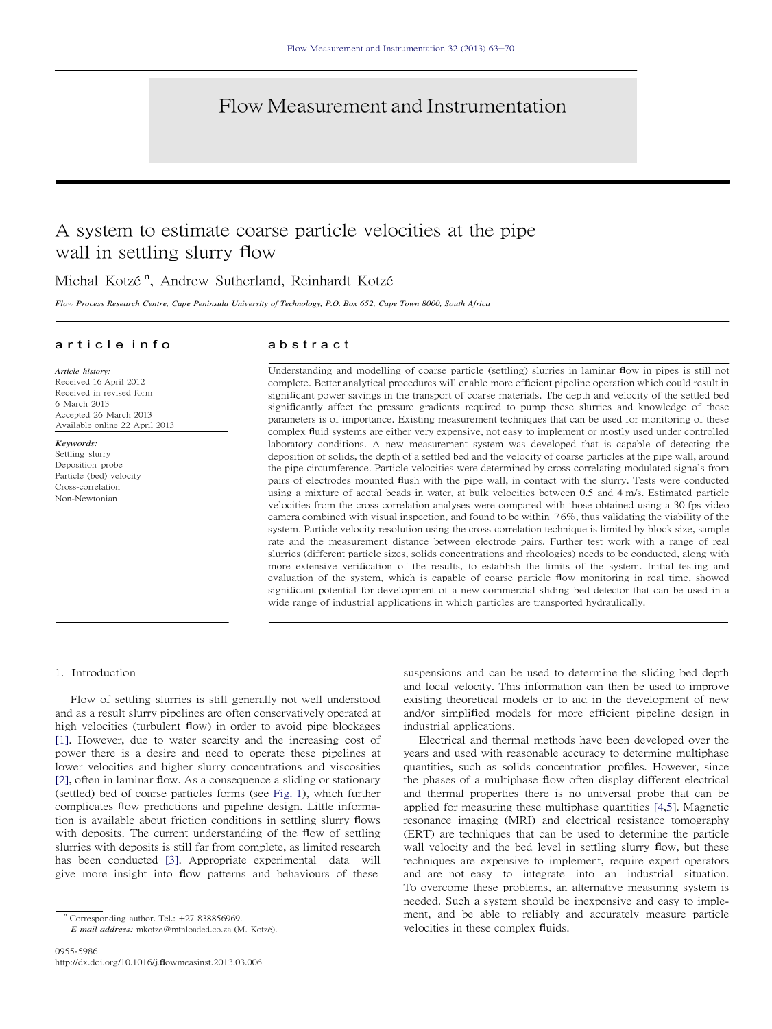# Flow Measurement and Instrumentation

# A system to estimate coarse particle velocities at the pipe wall in settling slurry flow

# Michal Kotzé<sup>n</sup>, Andrew Sutherland, Reinhardt Kotzé

*Flow Process Research Centre, Cape Peninsula University of Technology, P.O. Box 652, Cape Town 8000, South Africa*

# article info

*Article history:* Received 16 April 2012 Received in revised form 6 March 2013 Accepted 26 March 2013 Available online 22 April 2013

*Keywords:* Settling slurry Deposition probe Particle (bed) velocity Cross-correlation Non-Newtonian

# a b s t r a c t

Understanding and modelling of coarse particle (settling) slurries in laminar flow in pipes is still not complete. Better analytical procedures will enable more efficient pipeline operation which could result in significant power savings in the transport of coarse materials. The depth and velocity of the settled bed significantly affect the pressure gradients required to pump these slurries and knowledge of these parameters is of importance. Existing measurement techniques that can be used for monitoring of these complex fluid systems are either very expensive, not easy to implement or mostly used under controlled laboratory conditions. A new measurement system was developed that is capable of detecting the deposition of solids, the depth of a settled bed and the velocity of coarse particles at the pipe wall, around the pipe circumference. Particle velocities were determined by cross-correlating modulated signals from pairs of electrodes mounted flush with the pipe wall, in contact with the slurry. Tests were conducted using a mixture of acetal beads in water, at bulk velocities between 0.5 and 4 m/s. Estimated particle velocities from the cross-correlation analyses were compared with those obtained using a 30 fps video camera combined with visual inspection, and found to be within 76%, thus validating the viability of the system. Particle velocity resolution using the cross-correlation technique is limited by block size, sample rate and the measurement distance between electrode pairs. Further test work with a range of real slurries (different particle sizes, solids concentrations and rheologies) needs to be conducted, along with more extensive verification of the results, to establish the limits of the system. Initial testing and evaluation of the system, which is capable of coarse particle flow monitoring in real time, showed significant potential for development of a new commercial sliding bed detector that can be used in a wide range of industrial applications in which particles are transported hydraulically.

# 1. Introduction

Flow of settling slurries is still generally not well understood and as a result slurry pipelines are often conservatively operated at high velocities (turbulent flow) in order to avoid pipe blockages [\[1\].](#page-7-0) However, due to water scarcity and the increasing cost of power there is a desire and need to operate these pipelines at lower velocities and higher slurry concentrations and viscosities [\[2\],](#page-7-0) often in laminar flow. As a consequence a sliding or stationary (settled) bed of coarse particles forms (see [Fig. 1\)](#page-1-0), which further complicates flow predictions and pipeline design. Little information is available about friction conditions in settling slurry flows with deposits. The current understanding of the flow of settling slurries with deposits is still far from complete, as limited research has been conducted [\[3\].](#page-7-0) Appropriate experimental data will give more insight into flow patterns and behaviours of these

*E-mail address:* [mkotze@mtnloaded.co.za \(M. K](mailto:mkotze@mtnloaded.co.za)otzé).

suspensions and can be used to determine the sliding bed depth and local velocity. This information can then be used to improve existing theoretical models or to aid in the development of new and/or simplified models for more efficient pipeline design in industrial applications.

Electrical and thermal methods have been developed over the years and used with reasonable accuracy to determine multiphase quantities, such as solids concentration profiles. However, since the phases of a multiphase flow often display different electrical and thermal properties there is no universal probe that can be applied for measuring these multiphase quantities [\[4,5\]](#page-7-0). Magnetic resonance imaging (MRI) and electrical resistance tomography (ERT) are techniques that can be used to determine the particle wall velocity and the bed level in settling slurry flow, but these techniques are expensive to implement, require expert operators and are not easy to integrate into an industrial situation. To overcome these problems, an alternative measuring system is needed. Such a system should be inexpensive and easy to implement, and be able to reliably and accurately measure particle velocities in these complex fluids.

<sup>&</sup>lt;sup>n</sup> Corresponding author. Tel.: +27 838856969.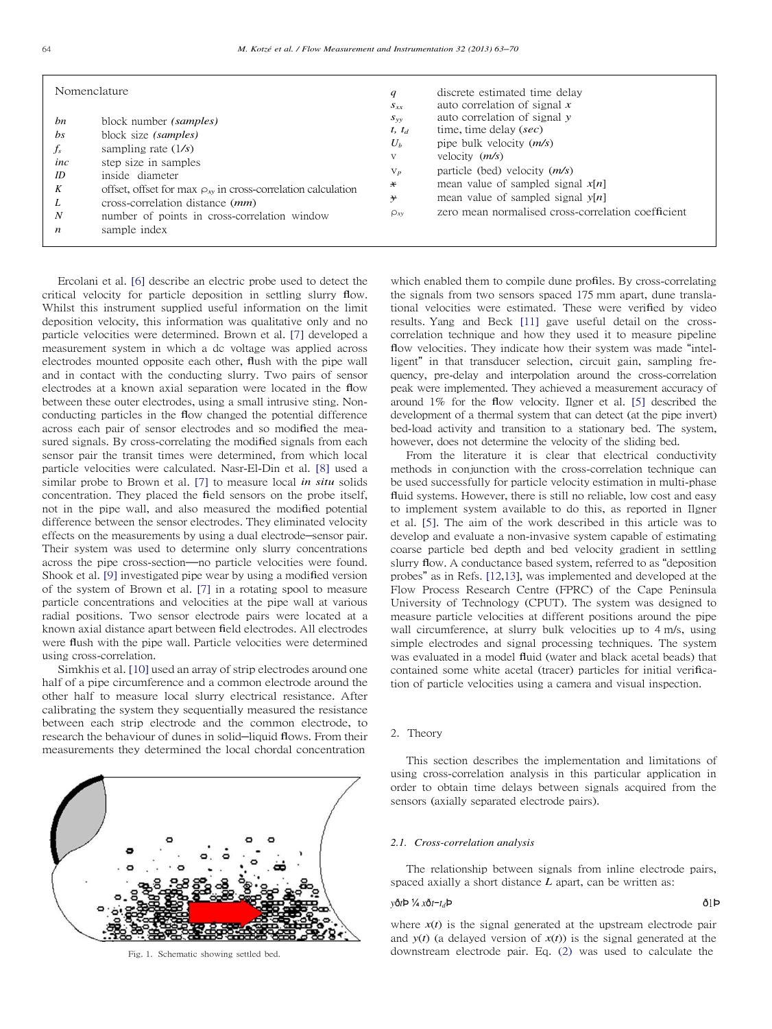<span id="page-1-0"></span>

| Nomenclature                                       |                                                                                                                                                                                                                                                                                                              | q<br>$S_{xx}$                                                                    | discrete estimated time delay<br>auto correlation of signal $x$                                                                                                                                                                                                                 |
|----------------------------------------------------|--------------------------------------------------------------------------------------------------------------------------------------------------------------------------------------------------------------------------------------------------------------------------------------------------------------|----------------------------------------------------------------------------------|---------------------------------------------------------------------------------------------------------------------------------------------------------------------------------------------------------------------------------------------------------------------------------|
| bn<br>bs<br>$f_s$<br>inc<br>ID<br>K<br>L<br>N<br>n | block number <i>(samples)</i><br>block size <i>(samples)</i><br>sampling rate $(1/s)$<br>step size in samples<br>inside diameter<br>offset, offset for max $\rho_{xy}$ in cross-correlation calculation<br>$cross-correlation distance (mm)$<br>number of points in cross-correlation window<br>sample index | $S_{yy}$<br>$t, t_d$<br>$U_h$<br>V<br>$V_p$<br>$\mathcal{X}$<br>サ<br>$\rho_{xy}$ | auto correlation of signal y<br>time, time delay (sec)<br>pipe bulk velocity $(m/s)$<br>velocity $(m/s)$<br>particle (bed) velocity $(m/s)$<br>mean value of sampled signal $x[n]$<br>mean value of sampled signal $y[n]$<br>zero mean normalised cross-correlation coefficient |

Ercolani et al. [\[6\]](#page-7-0) describe an electric probe used to detect the critical velocity for particle deposition in settling slurry flow. Whilst this instrument supplied useful information on the limit deposition velocity, this information was qualitative only and no particle velocities were determined. Brown et al. [\[7\]](#page-7-0) developed a measurement system in which a dc voltage was applied across electrodes mounted opposite each other, flush with the pipe wall and in contact with the conducting slurry. Two pairs of sensor electrodes at a known axial separation were located in the flow between these outer electrodes, using a small intrusive sting. Nonconducting particles in the flow changed the potential difference across each pair of sensor electrodes and so modified the measured signals. By cross-correlating the modified signals from each sensor pair the transit times were determined, from which local particle velocities were calculated. Nasr-El-Din et al. [\[8\]](#page-7-0) used a similar probe to Brown et al. [\[7\]](#page-7-0) to measure local *in situ* solids concentration. They placed the field sensors on the probe itself, not in the pipe wall, and also measured the modified potential difference between the sensor electrodes. They eliminated velocity effects on the measurements by using a dual electrode–sensor pair. Their system was used to determine only slurry concentrations across the pipe cross-section—no particle velocities were found. Shook et al. [\[9\]](#page-7-0) investigated pipe wear by using a modified version of the system of Brown et al. [\[7\]](#page-7-0) in a rotating spool to measure particle concentrations and velocities at the pipe wall at various radial positions. Two sensor electrode pairs were located at a known axial distance apart between field electrodes. All electrodes were flush with the pipe wall. Particle velocities were determined using cross-correlation.

Simkhis et al[. \[10\] u](#page-7-0)sed an array of strip electrodes around one half of a pipe circumference and a common electrode around the other half to measure local slurry electrical resistance. After calibrating the system they sequentially measured the resistance between each strip electrode and the common electrode, to research the behaviour of dunes in solid–liquid flows. From their measurements they determined the local chordal concentration



Fig. 1. Schematic showing settled bed.

which enabled them to compile dune profiles. By cross-correlating the signals from two sensors spaced 175 mm apart, dune translational velocities were estimated. These were verified by video results. Yang and Beck [\[11\]](#page-7-0) gave useful detail on the crosscorrelation technique and how they used it to measure pipeline flow velocities. They indicate how their system was made "intelligent" in that transducer selection, circuit gain, sampling frequency, pre-delay and interpolation around the cross-correlation peak were implemented. They achieved a measurement accuracy of around 1% for the flow velocity. Ilgner et al. [\[5\]](#page-7-0) described the development of a thermal system that can detect (at the pipe invert) bed-load activity and transition to a stationary bed. The system, however, does not determine the velocity of the sliding bed.

From the literature it is clear that electrical conductivity methods in conjunction with the cross-correlation technique can be used successfully for particle velocity estimation in multi-phase fluid systems. However, there is still no reliable, low cost and easy to implement system available to do this, as reported in Ilgner et al. [\[5\].](#page-7-0) The aim of the work described in this article was to develop and evaluate a non-invasive system capable of estimating coarse particle bed depth and bed velocity gradient in settling slurry flow. A conductance based system, referred to as "deposition probes" as in Refs. [\[12,13\]](#page-7-0), was implemented and developed at the Flow Process Research Centre (FPRC) of the Cape Peninsula University of Technology (CPUT). The system was designed to measure particle velocities at different positions around the pipe wall circumference, at slurry bulk velocities up to 4 m/s, using simple electrodes and signal processing techniques. The system was evaluated in a model fluid (water and black acetal beads) that contained some white acetal (tracer) particles for initial verification of particle velocities using a camera and visual inspection.

# 2. Theory

This section describes the implementation and limitations of using cross-correlation analysis in this particular application in order to obtain time delays between signals acquired from the sensors (axially separated electrode pairs).

#### *2.1. Cross-correlation analysis*

The relationship between signals from inline electrode pairs, spaced axially a short distance *L* apart, can be written as:

# *y*ð*t*Þ ¼ *x*ð*t*−*td* Þ ð1Þ

where  $x(t)$  is the signal generated at the upstream electrode pair and  $y(t)$  (a delayed version of  $x(t)$ ) is the signal generated at the downstream electrode pair. Eq. [\(2\)](#page-2-0) was used to calculate the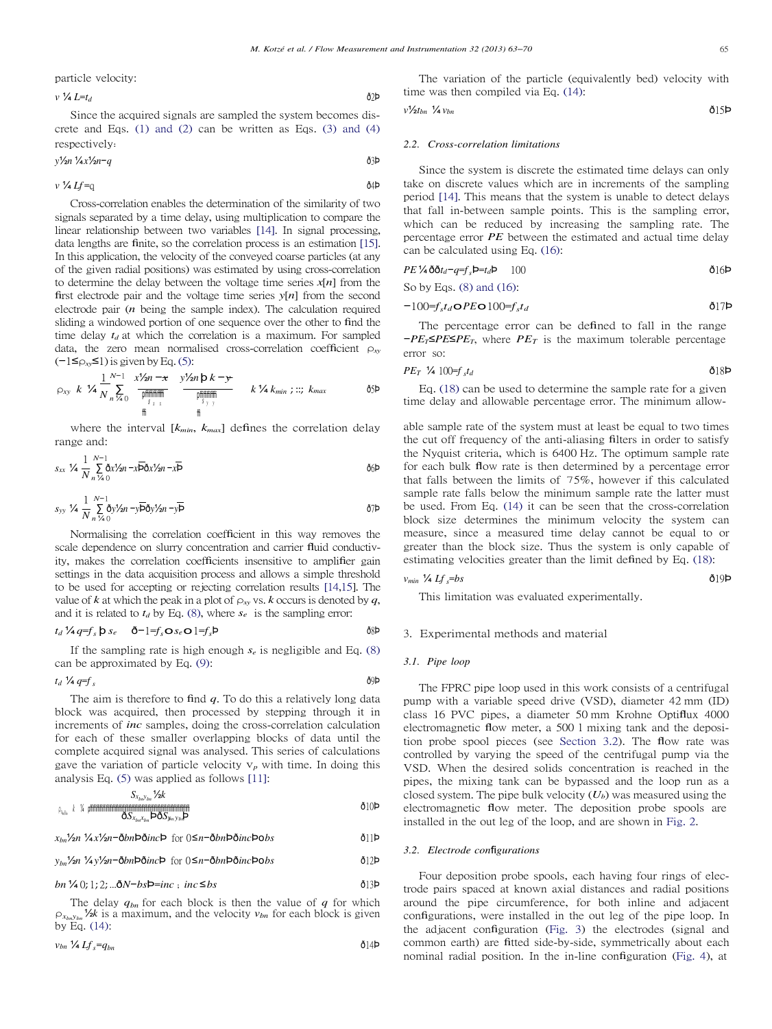<span id="page-2-0"></span>particle velocity:

$$
v \frac{1}{4} L = t_d
$$

Since the acquired signals are sampled the system becomes discrete and Eqs. [\(1\) and \(2\)](#page-1-0) can be written as Eqs. [\(3\) and \(4\)](#page-2-0) respectively:

$$
y\frac{1}{2}n\frac{1}{4}x\frac{1}{2}n-q
$$

$$
v \frac{1}{4}Lf = q \qquad \delta_4 \triangleright
$$

Cross-correlation enables the determination of the similarity of two signals separated by a time delay, using multiplication to compare the linear relationship between two variables [\[14\].](#page-7-0) In signal processing, data lengths are finite, so the correlation process is an estimatio[n \[15\].](#page-7-0) In this application, the velocity of the conveyed coarse particles (at any of the given radial positions) was estimated by using cross-correlation to determine the delay between the voltage time series *x*[*n*] from the first electrode pair and the voltage time series  $y[n]$  from the second electrode pair (*n* being the sample index). The calculation required sliding a windowed portion of one sequence over the other to find the time delay  $t_d$  at which the correlation is a maximum. For sampled data, the zero mean normalised cross-correlation coefficient ρ*xy* (−1≤ρ*xy*≤1) is given by Eq[. \(5\):](#page-2-0)

$$
\rho_{xy} \ k \ \mathcal{V}_4 \frac{1}{N} \sum_{n \ \leq 0}^{N-1} \frac{x \mathcal{V}_{2n} - x}{\substack{\text{Diffiffiff} \\ \text{Diffiff} \\ \text{diff}}} \frac{y \mathcal{V}_{2n} \mathbf{b} \ k - y}{\substack{\text{Diffiffiff} \\ \text{Diffiff} \\ \text{diff}}} \ k \ \mathcal{V}_4 \ k_{\text{min}} \ ; \ \mathcal{V}_5 \ k_{\text{max}} \tag{55}
$$

where the interval  $[k_{min}, k_{max}]$  defines the correlation delay range and:

$$
s_{xx} \mathcal{V}_4 \frac{1}{N} \sum_{n=1}^{N-1} \tilde{\mathbf{O}} x^4 / 2n = x \overline{\mathbf{D}} \tilde{\mathbf{O}} x^4 / 2n = x \overline{\mathbf{D}}
$$

$$
s_{yy} \frac{1}{N} \frac{\sum_{n=1}^{N-1} \delta y \cdot \gamma_{2n}}{\sum_{n=1}^{N} \delta y} = \frac{1}{N} \frac{\sum_{n=1}^{N-1} \delta y \cdot \gamma_{2n}}{\sum_{n=1}^{N-1} \delta y}
$$

Normalising the correlation coefficient in this way removes the scale dependence on slurry concentration and carrier fluid conductivity, makes the correlation coefficients insensitive to amplifier gain settings in the data acquisition process and allows a simple threshold to be used for accepting or rejecting correlation results [\[14,15\]](#page-7-0). The value of *k* at which the peak in a plot of  $\rho_{xy}$  vs. *k* occurs is denoted by *q*, and it is related to  $t_d$  by Eq[. \(8\),](#page-2-0) where  $s_e$  is the sampling error:

$$
t_d \mathcal{V}_4 q = f_s \mathbf{b} s_e
$$
  $\mathbf{\tilde{O}} - 1 = f_s \mathbf{O} s_e \mathbf{O} 1 = f_s \mathbf{b}$   $\delta \mathbf{\S} \mathbf{b}$ 

If the sampling rate is high enough  $s_e$  is negligible and Eq.  $(8)$ can be approximated by Eq. [\(9\):](#page-2-0)

$$
t_d \mathcal{V}_4 q = f_s \tag{69}
$$

The aim is therefore to find *q*. To do this a relatively long data block was acquired, then processed by stepping through it in increments of *inc* samples, doing the cross-correlation calculation for each of these smaller overlapping blocks of data until the complete acquired signal was analysed. This series of calculations gave the variation of particle velocity  $v_p$  with time. In doing this analysis Eq. [\(5\)](#page-2-0) was applied as follows [\[11\]:](#page-7-0)

$$
\frac{S_{x_{b\alpha}y_{b\alpha}}\prime zk}{\delta 10}
$$

$$
x_{bn}\frac{1}{2}n \frac{1}{4}x\frac{1}{2}n-\delta b_n\nabla \delta inc \mathbf{p}
$$
 for  $0 \leq n-\delta b_n \mathbf{p} \delta inc \mathbf{p} \delta bs$   $\delta 11 \mathbf{p}$ 

$$
y_{bn}
$$
  $\frac{1}{2}n \frac{1}{2}y \frac{1}{2}n - \delta b_n$   $\phi_{inc} \rightarrow 0$  for  $0 \leq n - \delta b_n$   $\phi_{inc} \rightarrow 0$ 

$$
bn \,\mathcal{V}_4\,(); 1; 2; \ldots \delta N - bs \mathsf{D} = inc \, ; \, inc \le bs
$$

The delay *qbn* for each block is then the value of *q* for which  $\rho_{x_{b n} y_{b n}}$  % is a maximum, and the velocity  $v_{b n}$  for each block is given by Eq. [\(14\):](#page-2-0)

$$
v_{bn} \mathcal{V}_4 L f_s = q_{bn} \tag{14}
$$

time was then compiled via Eq. [\(14\):](#page-2-0)

$$
v^{\prime}/2t_{bn} \sqrt{4} v_{bn}
$$

### *2.2. Cross-correlation limitations*

Since the system is discrete the estimated time delays can only take on discrete values which are in increments of the sampling period [\[14\].](#page-7-0) This means that the system is unable to detect delays that fall in-between sample points. This is the sampling error, which can be reduced by increasing the sampling rate. The percentage error *PE* between the estimated and actual time delay can be calculated using Eq. [\(16\):](#page-2-0)

$$
PE \,\mathcal{V}_4 \,\tilde{\mathbf{O}} \,\tilde{\mathbf{O}} t_d - q = f_s \mathbf{D} = t_d \mathbf{D} \tag{3.16}
$$

So by Eqs. [\(8\) and \(16\):](#page-2-0)

$$
-100=f_s t_d \mathbf{O} P E \mathbf{O} 100 = f_s t_d \tag{17}
$$

The percentage error can be defined to fall in the range −*PET*≤*PE*≤*PET*, where *PET* is the maximum tolerable percentage error so:

$$
PE_T \quad \text{4} \quad 100 = f_s t_d \quad \text{5}
$$

*kg.* [\(18\)](#page-2-0) can be used to determine the sample rate for a given time delay and allowable percentage error. The minimum allow-

able sample rate of the system must at least be equal to two times the cut off frequency of the anti-aliasing filters in order to satisfy the Nyquist criteria, which is 6400 Hz. The optimum sample rate for each bulk flow rate is then determined by a percentage error that falls between the limits of 75%, however if this calculated sample rate falls below the minimum sample rate the latter must be used. From Eq. [\(14\)](#page-2-0) it can be seen that the cross-correlation block size determines the minimum velocity the system can measure, since a measured time delay cannot be equal to or greater than the block size. Thus the system is only capable of estimating velocities greater than the limit defined by Eq. [\(18\):](#page-2-0)

$$
v_{min} \ \mathcal{V} \ \mathcal{L}f \ \mathbf{s} = bs \tag{319}
$$

This limitation was evaluated experimentally.

#### 3. Experimental methods and material

### *3.1. Pipe loop*

The FPRC pipe loop used in this work consists of a centrifugal pump with a variable speed drive (VSD), diameter 42 mm (ID) class 16 PVC pipes, a diameter 50 mm Krohne Optiflux 4000 electromagnetic flow meter, a 500 l mixing tank and the deposition probe spool pieces (see [Section 3.2\)](#page-2-0). The flow rate was controlled by varying the speed of the centrifugal pump via the VSD. When the desired solids concentration is reached in the pipes, the mixing tank can be bypassed and the loop run as a closed system. The pipe bulk velocity (*Ub*) was measured using the electromagnetic flow meter. The deposition probe spools are installed in the out leg of the loop, and are shown in [Fig. 2.](#page-3-0)

#### *3.2. Electrode con*fi*gurations*

Four deposition probe spools, each having four rings of electrode pairs spaced at known axial distances and radial positions around the pipe circumference, for both inline and adjacent configurations, were installed in the out leg of the pipe loop. In the adjacent configuration [\(Fig. 3\)](#page-4-0) the electrodes (signal and common earth) are fitted side-by-side, symmetrically about each nominal radial position. In the in-line configuration [\(Fig. 4\)](#page-4-0), at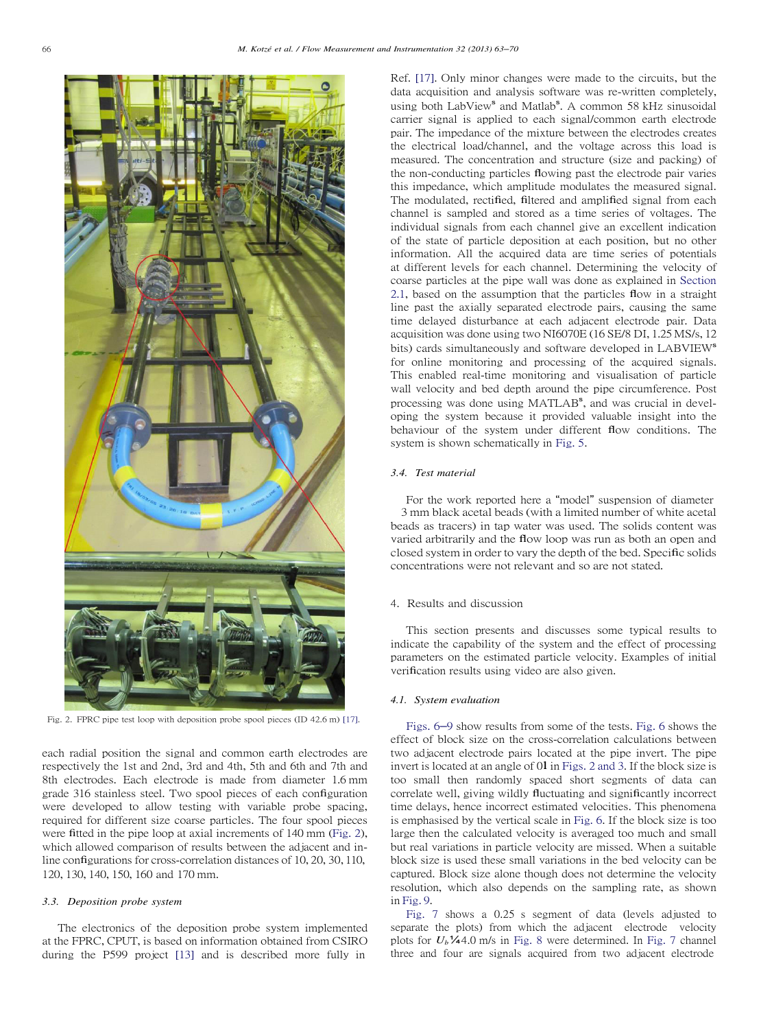<span id="page-3-0"></span>

Fig. 2. FPRC pipe test loop with deposition probe spool pieces (ID 42.6 m) [\[17\].](#page-7-0)

each radial position the signal and common earth electrodes are respectively the 1st and 2nd, 3rd and 4th, 5th and 6th and 7th and 8th electrodes. Each electrode is made from diameter 1.6 mm grade 316 stainless steel. Two spool pieces of each configuration were developed to allow testing with variable probe spacing, required for different size coarse particles. The four spool pieces were fitted in the pipe loop at axial increments of 140 mm [\(Fig. 2\)](#page-3-0), which allowed comparison of results between the adjacent and inline configurations for cross-correlation distances of 10, 20, 30, 110, 120, 130, 140, 150, 160 and 170 mm.

# *3.3. Deposition probe system*

The electronics of the deposition probe system implemented at the FPRC, CPUT, is based on information obtained from CSIRO during the P599 project [\[13\]](#page-7-0) and is described more fully in

Ref. [\[17\].](#page-7-0) Only minor changes were made to the circuits, but the data acquisition and analysis software was re-written completely, using both LabView<sup>s</sup> and Matlab<sup>s</sup>. A common 58 kHz sinusoidal carrier signal is applied to each signal/common earth electrode pair. The impedance of the mixture between the electrodes creates the electrical load/channel, and the voltage across this load is measured. The concentration and structure (size and packing) of the non-conducting particles flowing past the electrode pair varies this impedance, which amplitude modulates the measured signal. The modulated, rectified, filtered and amplified signal from each channel is sampled and stored as a time series of voltages. The individual signals from each channel give an excellent indication of the state of particle deposition at each position, but no other information. All the acquired data are time series of potentials at different levels for each channel. Determining the velocity of coarse particles at the pipe wall was done as explained in [Section](#page-1-0) [2.1,](#page-1-0) based on the assumption that the particles flow in a straight line past the axially separated electrode pairs, causing the same time delayed disturbance at each adjacent electrode pair. Data acquisition was done using two NI6070E (16 SE/8 DI, 1.25 MS/s, 12 bits) cards simultaneously and software developed in LABVIEW<sup>s</sup> for online monitoring and processing of the acquired signals. This enabled real-time monitoring and visualisation of particle wall velocity and bed depth around the pipe circumference. Post processing was done using MATLAB<sup>s</sup>, and was crucial in developing the system because it provided valuable insight into the behaviour of the system under different flow conditions. The system is shown schematically in [Fig. 5.](#page-4-0)

# *3.4. Test material*

For the work reported here a "model" suspension of diameter 3 mm black acetal beads (with a limited number of white acetal beads as tracers) in tap water was used. The solids content was varied arbitrarily and the flow loop was run as both an open and closed system in order to vary the depth of the bed. Specific solids concentrations were not relevant and so are not stated.

# 4. Results and discussion

This section presents and discusses some typical results to indicate the capability of the system and the effect of processing parameters on the estimated particle velocity. Examples of initial verification results using video are also given.

# *4.1. System evaluation*

[Figs. 6](#page-4-0)–[9](#page-4-0) show results from some of the tests. [Fig. 6](#page-4-0) shows the effect of block size on the cross-correlation calculations between two adjacent electrode pairs located at the pipe invert. The pipe invert is located at an angle of 01 in [Figs. 2 and 3.](#page-3-0) If the block size is too small then randomly spaced short segments of data can correlate well, giving wildly fluctuating and significantly incorrect time delays, hence incorrect estimated velocities. This phenomena is emphasised by the vertical scale in [Fig. 6.](#page-4-0) If the block size is too large then the calculated velocity is averaged too much and small but real variations in particle velocity are missed. When a suitable block size is used these small variations in the bed velocity can be captured. Block size alone though does not determine the velocity resolution, which also depends on the sampling rate, as shown in [Fig. 9.](#page-5-0)

[Fig. 7](#page-5-0) shows a 0.25 s segment of data (levels adjusted to separate the plots) from which the adjacent electrode velocity plots for  $U_b$ <sup>1</sup>/44.0 m/s in [Fig. 8](#page-5-0) were determined. In [Fig. 7](#page-5-0) channel three and four are signals acquired from two adjacent electrode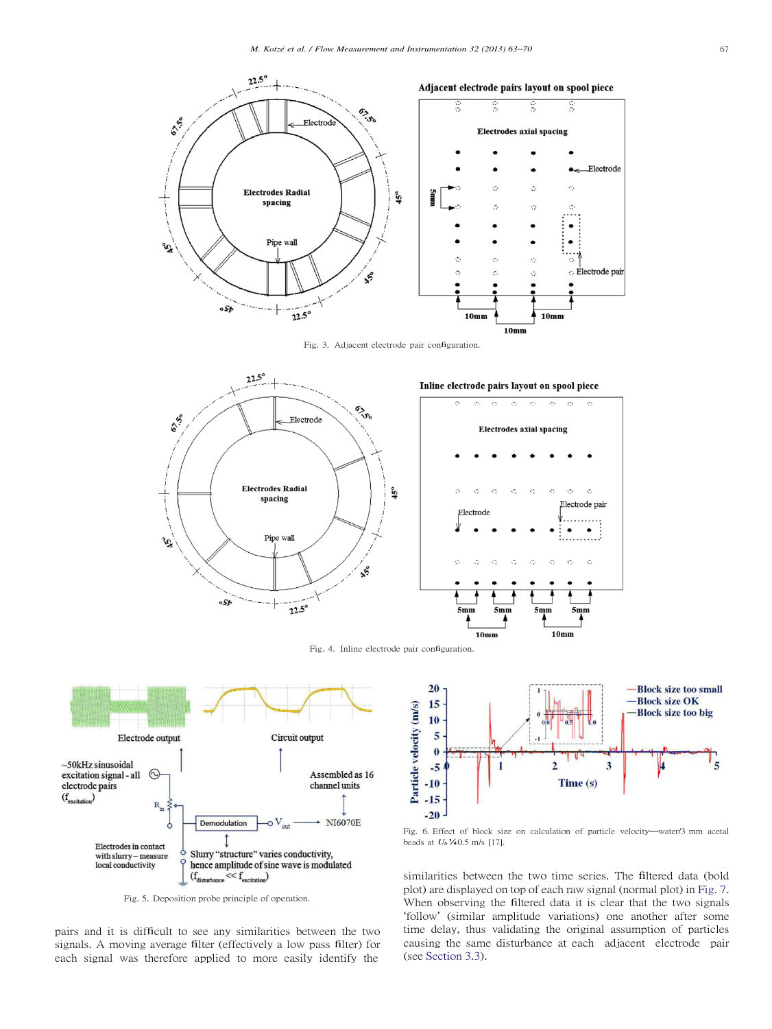<span id="page-4-0"></span>

Fig. 3. Adjacent electrode pair configuration.



Fig. 4. Inline electrode pair configuration.



Fig. 5. Deposition probe principle of operation.

pairs and it is difficult to see any similarities between the two signals. A moving average filter (effectively a low pass filter) for each signal was therefore applied to more easily identify the



Fig. 6. Effect of block size on calculation of particle velocity—water/3 mm acetal beads at *Ub* ¼ 0.5 m/s [\[17\].](#page-7-0)

similarities between the two time series. The filtered data (bold plot) are displayed on top of each raw signal (normal plot) in [Fig. 7.](#page-5-0) When observing the filtered data it is clear that the two signals 'follow' (similar amplitude variations) one another after some time delay, thus validating the original assumption of particles causing the same disturbance at each adjacent electrode pair (se[e Section 3.3\)](#page-3-0).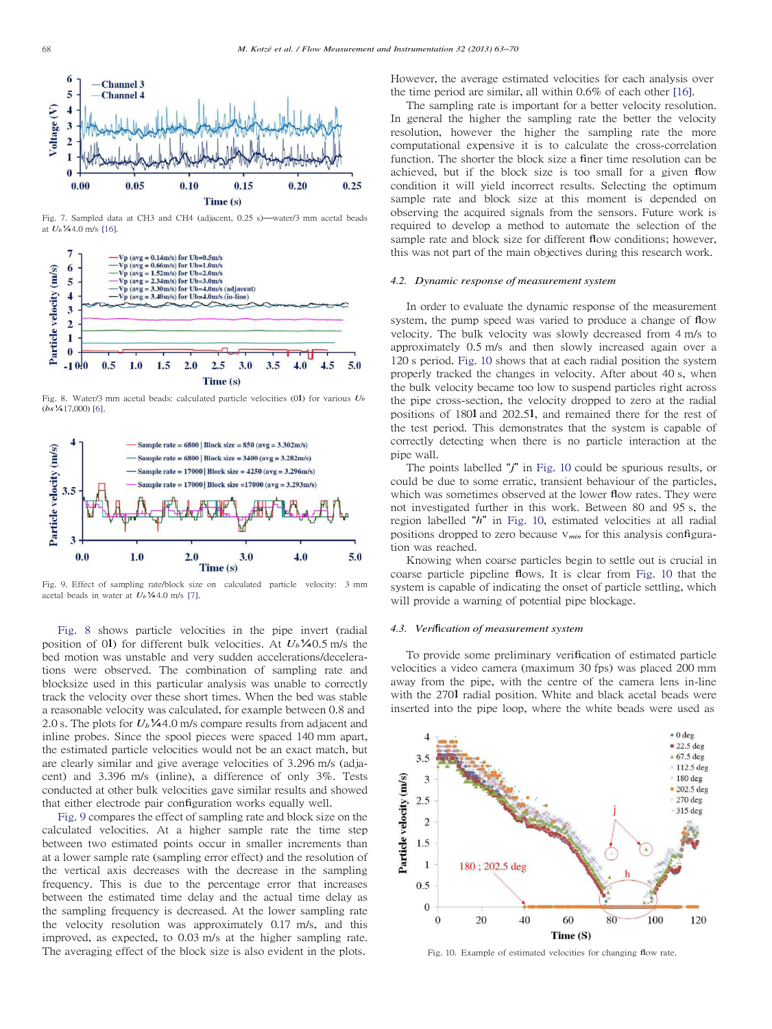<span id="page-5-0"></span>

Fig. 7. Sampled data at CH3 and CH4 (adjacent, 0.25 s)—water/3 mm acetal beads at *Ub* ¼ 4.0 m/s [\[16\].](#page-7-0)



Fig. 8. Water/3 mm acetal beads: calculated particle velocities (01) for various *U<sup>b</sup>* (*bs*<sup> $1/4$ </sup>17,000[\) \[6\].](#page-7-0)



Fig. 9. Effect of sampling rate/block size on calculated particle velocity: 3 mm acetal beads in water at  $U<sub>b</sub>$ <sup>1</sup>/<sub>4</sub>4.0 m/s [\[7\].](#page-7-0)

[Fig. 8](#page-5-0) shows particle velocities in the pipe invert (radial position of 01) for different bulk velocities. At  $U_b \frac{1}{4} 0.5$  m/s the bed motion was unstable and very sudden accelerations/decelerations were observed. The combination of sampling rate and blocksize used in this particular analysis was unable to correctly track the velocity over these short times. When the bed was stable a reasonable velocity was calculated, for example between 0.8 and 2.0 s. The plots for  $U_b$  % 4.0 m/s compare results from adjacent and inline probes. Since the spool pieces were spaced 140 mm apart, the estimated particle velocities would not be an exact match, but are clearly similar and give average velocities of 3.296 m/s (adjacent) and 3.396 m/s (inline), a difference of only 3%. Tests conducted at other bulk velocities gave similar results and showed that either electrode pair configuration works equally well.

[Fig. 9 c](#page-5-0)ompares the effect of sampling rate and block size on the calculated velocities. At a higher sample rate the time step between two estimated points occur in smaller increments than at a lower sample rate (sampling error effect) and the resolution of the vertical axis decreases with the decrease in the sampling frequency. This is due to the percentage error that increases between the estimated time delay and the actual time delay as the sampling frequency is decreased. At the lower sampling rate the velocity resolution was approximately 0.17 m/s, and this improved, as expected, to 0.03 m/s at the higher sampling rate. The averaging effect of the block size is also evident in the plots.

However, the average estimated velocities for each analysis over the time period are similar, all within 0.6% of each other [\[16\].](#page-7-0)

The sampling rate is important for a better velocity resolution. In general the higher the sampling rate the better the velocity resolution, however the higher the sampling rate the more computational expensive it is to calculate the cross-correlation function. The shorter the block size a finer time resolution can be achieved, but if the block size is too small for a given flow condition it will yield incorrect results. Selecting the optimum sample rate and block size at this moment is depended on observing the acquired signals from the sensors. Future work is required to develop a method to automate the selection of the sample rate and block size for different flow conditions; however, this was not part of the main objectives during this research work.

#### *4.2. Dynamic response of measurement system*

In order to evaluate the dynamic response of the measurement system, the pump speed was varied to produce a change of flow velocity. The bulk velocity was slowly decreased from 4 m/s to approximately 0.5 m/s and then slowly increased again over a 120 s period. [Fig. 10](#page-5-0) shows that at each radial position the system properly tracked the changes in velocity. After about 40 s, when the bulk velocity became too low to suspend particles right across the pipe cross-section, the velocity dropped to zero at the radial positions of 1801 and 202.51, and remained there for the rest of the test period. This demonstrates that the system is capable of correctly detecting when there is no particle interaction at the pipe wall.

The points labelled "*j*" in [Fig. 10](#page-5-0) could be spurious results, or could be due to some erratic, transient behaviour of the particles, which was sometimes observed at the lower flow rates. They were not investigated further in this work. Between 80 and 95 s, the region labelled "*h*" in [Fig. 10,](#page-5-0) estimated velocities at all radial positions dropped to zero because v*min* for this analysis configuration was reached.

Knowing when coarse particles begin to settle out is crucial in coarse particle pipeline flows. It is clear from [Fig. 10](#page-5-0) that the system is capable of indicating the onset of particle settling, which will provide a warning of potential pipe blockage.

#### *4.3. Veri*fi*cation of measurement system*

To provide some preliminary verification of estimated particle velocities a video camera (maximum 30 fps) was placed 200 mm away from the pipe, with the centre of the camera lens in-line with the 2701 radial position. White and black acetal beads were inserted into the pipe loop, where the white beads were used as



Fig. 10. Example of estimated velocities for changing flow rate.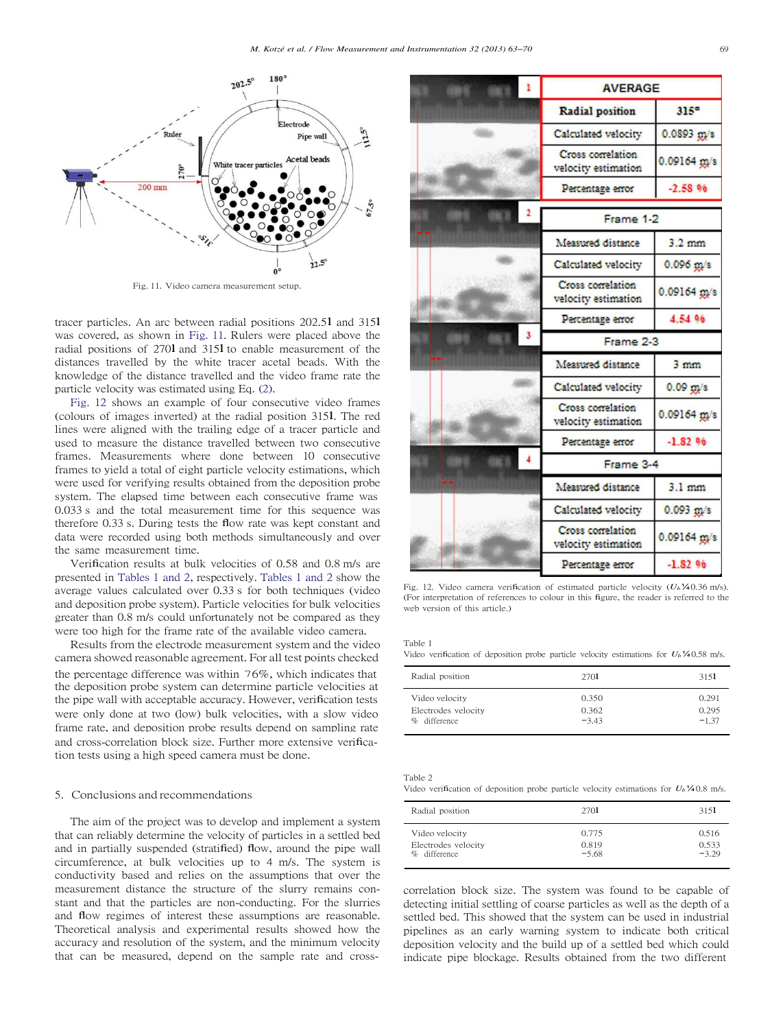<span id="page-6-0"></span>

Fig. 11. Video camera measurement setup.

tracer particles. An arc between radial positions 202.51 and 3151 was covered, as shown in [Fig. 11.](#page-6-0) Rulers were placed above the radial positions of 2701 and 3151 to enable measurement of the distances travelled by the white tracer acetal beads. With the knowledge of the distance travelled and the video frame rate the particle velocity was estimated using Eq. [\(2\).](#page-2-0)

[Fig. 12](#page-6-0) shows an example of four consecutive video frames (colours of images inverted) at the radial position 3151. The red lines were aligned with the trailing edge of a tracer particle and used to measure the distance travelled between two consecutive frames. Measurements where done between 10 consecutive frames to yield a total of eight particle velocity estimations, which were used for verifying results obtained from the deposition probe system. The elapsed time between each consecutive frame was 0.033 s and the total measurement time for this sequence was therefore 0.33 s. During tests the flow rate was kept constant and data were recorded using both methods simultaneously and over the same measurement time.

Verification results at bulk velocities of 0.58 and 0.8 m/s are presented in [Tables 1 and 2,](#page-6-0) respectively. [Tables 1 and 2](#page-6-0) show the average values calculated over 0.33 s for both techniques (video and deposition probe system). Particle velocities for bulk velocities greater than 0.8 m/s could unfortunately not be compared as they were too high for the frame rate of the available video camera.

Results from the electrode measurement system and the video camera showed reasonable agreement. For all test points checked the percentage difference was within  $76\%$ , which indicates that the deposition probe system can determine particle velocities at the pipe wall with acceptable accuracy. However, verification tests were only done at two (low) bulk velocities, with a slow video frame rate, and deposition probe results depend on sampling rate and cross-correlation block size. Further more extensive verification tests using a high speed camera must be done.

#### 5. Conclusions and recommendations

The aim of the project was to develop and implement a system that can reliably determine the velocity of particles in a settled bed and in partially suspended (stratified) flow, around the pipe wall circumference, at bulk velocities up to 4 m/s. The system is conductivity based and relies on the assumptions that over the measurement distance the structure of the slurry remains constant and that the particles are non-conducting. For the slurries and flow regimes of interest these assumptions are reasonable. Theoretical analysis and experimental results showed how the accuracy and resolution of the system, and the minimum velocity that can be measured, depend on the sample rate and cross-

| <b>AVERAGE</b>                           |                    |  |
|------------------------------------------|--------------------|--|
| <b>Radial position</b>                   | 315°               |  |
| Calculated velocity                      | $0.0893$ m/s       |  |
| Cross correlation<br>velocity estimation | $0.09164$ m/s      |  |
| Percentage error                         | $-2.5896$          |  |
| Frame 1-2                                |                    |  |
| Measured distance                        | $3.2 \text{ mm}$   |  |
| Calculated velocity                      | $0.096$ m/s        |  |
| Cross correlation<br>velocity estimation | $0.09164$ m/s      |  |
| Percentage error                         | 4.54 %             |  |
|                                          |                    |  |
| Frame 2-3                                |                    |  |
| Measured distance                        | 3mm                |  |
| Calculated velocity                      | $0.09 \text{ m/s}$ |  |
| Cross correlation<br>velocity estimation | $0.09164$ m/s      |  |
| Percentage error                         | $-1.82.96$         |  |
| Frame 3-4                                |                    |  |
| Measured distance                        | $3.1 \text{ mm}$   |  |
| Calculated velocity                      | $0.093$ m/s        |  |
| Cross correlation<br>velocity estimation | $0.09164$ m/s      |  |

Fig. 12. Video camera verification of estimated particle velocity  $(U_b \frac{1}{4} 0.36 \text{ m/s})$ . (For interpretation of references to colour in this figure, the reader is referred to the web version of this article.)

#### Table 1

Video verification of deposition probe particle velocity estimations for *Ub* ¼ 0.58 m/s.

| Radial position                           | 2701             | 3151             |
|-------------------------------------------|------------------|------------------|
| Video velocity                            | 0.350            | 0.291            |
| Electrodes velocity<br>difference<br>$\%$ | 0.362<br>$-3.43$ | 0.295<br>$-1.37$ |

Video verification of deposition probe particle velocity estimations for  $U_b \frac{1}{4} 0.8$  m/s.

| Radial position                                             | 2701                      | 3151                      |
|-------------------------------------------------------------|---------------------------|---------------------------|
| Video velocity<br>Electrodes velocity<br>difference<br>$\%$ | 0.775<br>0.819<br>$-5.68$ | 0.516<br>0.533<br>$-3.29$ |

correlation block size. The system was found to be capable of detecting initial settling of coarse particles as well as the depth of a settled bed. This showed that the system can be used in industrial pipelines as an early warning system to indicate both critical deposition velocity and the build up of a settled bed which could indicate pipe blockage. Results obtained from the two different